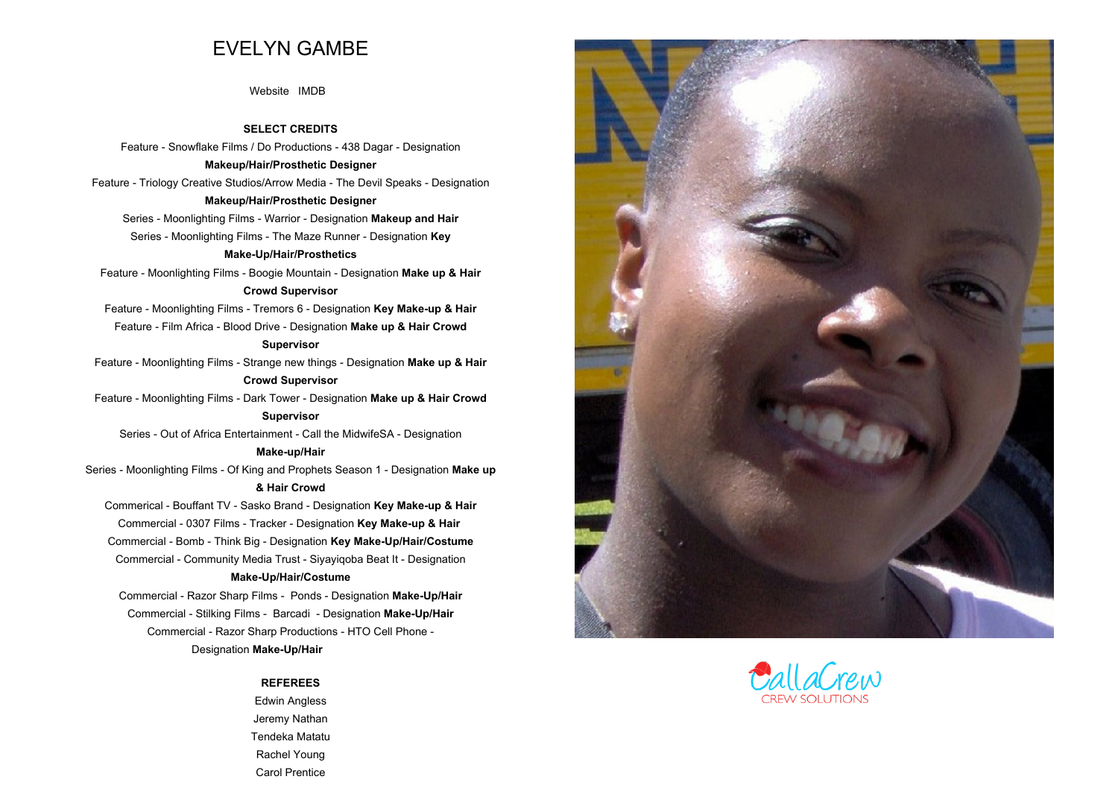# **EVELYN GAMBE**

**[Website](https://evelyngambe.co.za/) [IMDB](https://www.imdb.com/name/nm4020567/?ref_=nv_sr_1)**

**SELECT CREDITS**

 **Feature - Snowflake Films / Do Productions - 438 Dagar - Designation Makeup/Hair/Prosthetic Designer Feature - Triology Creative Studios/Arrow Media - The Devil Speaks - Designation**

# **Makeup/Hair/Prosthetic Designer**

**Series - Moonlighting Films - Warrior - Designation Makeup and Hair Series - Moonlighting Films - The Maze Runner - Designation Key**

# **Make-Up/Hair/Prosthetics**

**Feature - Moonlighting Films - Boogie Mountain - Designation Make up & Hair**

# **Crowd Supervisor**

**Feature - Moonlighting Films - Tremors <sup>6</sup> - Designation Key Make-up & Hair Feature - Film Africa - Blood Drive - Designation Make up & Hair Crowd**

#### **Supervisor**

**Feature - Moonlighting Films - Strange new things - Designation Make up & Hair Crowd Supervisor**

**Feature - Moonlighting Films - Dark Tower - Designation Make up & Hair Crowd**

# **Supervisor**

**Series - Out of Africa Entertainment - Call the MidwifeSA - Designation**

## **Make-up/Hair**

**Series - Moonlighting Films - Of King and Prophets Season <sup>1</sup> - Designation Make up& Hair Crowd**

**Commerical - Bouffant TV - Sasko Brand - Designation Key Make-up & Hair Commercial - <sup>0307</sup> Films - Tracker - Designation Key Make-up & Hair Commercial - Bomb - Think Big - Designation Key Make-Up/Hair/Costume Commercial - Community Media Trust - Siyayiqoba Beat It - Designation Make-Up/Hair/Costume**

**Commercial - Razor Sharp Films - Ponds - Designation Make-Up/Hair Commercial - Stilking Films - Barcadi - Designation Make-Up/Hair Commercial - Razor Sharp Productions - HTO Cell Phone - Designation Make-Up/Hair** 

## **REFEREES**

**Edwin Angless Jeremy NathanTendeka Matatu Rachel YoungCarol Prentice**